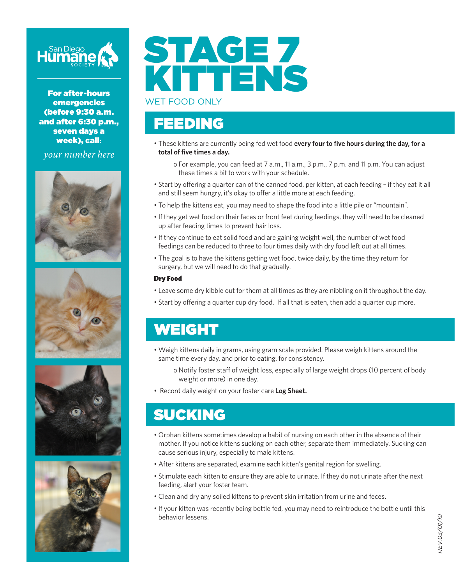

For after-hours emergencies (before 9:30 a.m. and after 6:30 p.m., seven days a week), call**:**

*your number here*









# STAGE 7 KITTENS WET FOOD ONLY

#### FEEDING

• These kittens are currently being fed wet food **every four to five hours during the day, for a total of five times a day.**

o For example, you can feed at 7 a.m., 11 a.m., 3 p.m., 7 p.m. and 11 p.m. You can adjust these times a bit to work with your schedule.

- Start by offering a quarter can of the canned food, per kitten, at each feeding if they eat it all and still seem hungry, it's okay to offer a little more at each feeding.
- To help the kittens eat, you may need to shape the food into a little pile or "mountain".
- If they get wet food on their faces or front feet during feedings, they will need to be cleaned up after feeding times to prevent hair loss.
- If they continue to eat solid food and are gaining weight well, the number of wet food feedings can be reduced to three to four times daily with dry food left out at all times.
- The goal is to have the kittens getting wet food, twice daily, by the time they return for surgery, but we will need to do that gradually.

#### Dry Food

- Leave some dry kibble out for them at all times as they are nibbling on it throughout the day.
- Start by offering a quarter cup dry food. If all that is eaten, then add a quarter cup more.

## WEIGHT

- Weigh kittens daily in grams, using gram scale provided. Please weigh kittens around the same time every day, and prior to eating, for consistency.
	- o Notify foster staff of weight loss, especially of large weight drops (10 percent of body weight or more) in one day.
- Record daily weight on your foster care **Log Sheet.**

#### SUCKING

- Orphan kittens sometimes develop a habit of nursing on each other in the absence of their mother. If you notice kittens sucking on each other, separate them immediately. Sucking can cause serious injury, especially to male kittens.
- After kittens are separated, examine each kitten's genital region for swelling.
- Stimulate each kitten to ensure they are able to urinate. If they do not urinate after the next feeding, alert your foster team.
- Clean and dry any soiled kittens to prevent skin irritation from urine and feces.
- If your kitten was recently being bottle fed, you may need to reintroduce the bottle until this behavior lessens.